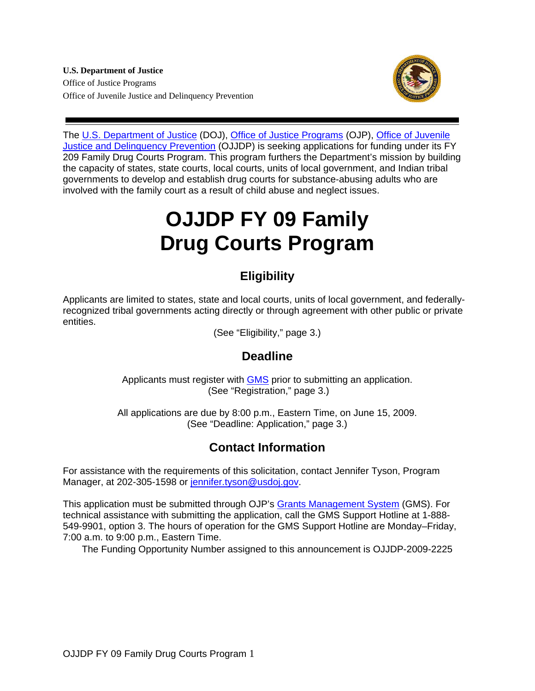**U.S. Department of Justice**  Office of Justice Programs Office of Juvenile Justice and Delinquency Prevention



The [U.S. Department of Justice](http://www.usdoj.gov/) (DOJ), [Office of Justice Programs](http://www.ojp.usdoj.gov/) (OJP), [Office of Juvenile](http://ojjdp.ncjrs.gov/)  [Justice and Delinquency Prevention](http://ojjdp.ncjrs.gov/) (OJJDP) is seeking applications for funding under its FY 209 Family Drug Courts Program. This program furthers the Department's mission by building the capacity of states, state courts, local courts, units of local government, and Indian tribal governments to develop and establish drug courts for substance-abusing adults who are involved with the family court as a result of child abuse and neglect issues.

# **OJJDP FY 09 Family Drug Courts Program**

## **Eligibility**

Applicants are limited to states, state and local courts, units of local government, and federallyrecognized tribal governments acting directly or through agreement with other public or private entities.

(See "Eligibility," page 3.)

## **Deadline**

Applicants must register with [GMS](https://grants.ojp.usdoj.gov/) prior to submitting an application. (See "Registration," page 3.)

All applications are due by 8:00 p.m., Eastern Time, on June 15, 2009. (See "Deadline: Application," page 3.)

## **Contact Information**

For assistance with the requirements of this solicitation, contact Jennifer Tyson, Program Manager, at 202-305-1598 or [jennifer.tyson@usdoj.gov.](mailto:jennifer.tyson@usdoj.gov)

This application must be submitted through OJP's [Grants Management System](https://grants.ojp.usdoj.gov/) (GMS). For technical assistance with submitting the application, call the GMS Support Hotline at 1-888- 549-9901, option 3. The hours of operation for the GMS Support Hotline are Monday–Friday, 7:00 a.m. to 9:00 p.m., Eastern Time.

The Funding Opportunity Number assigned to this announcement is OJJDP-2009-2225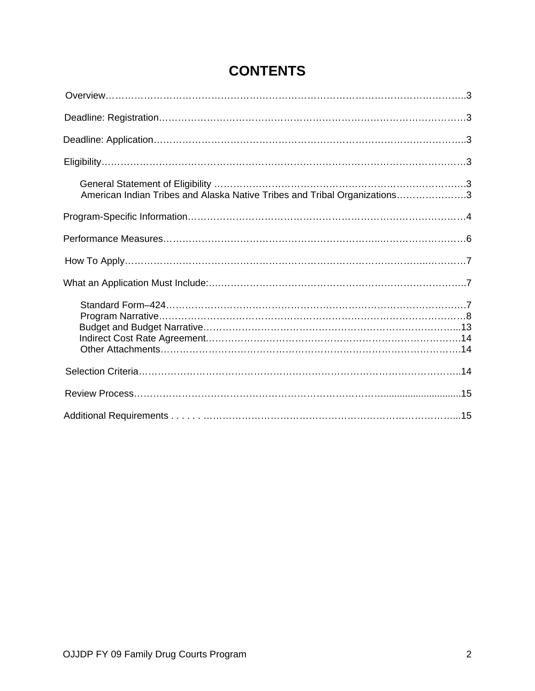| American Indian Tribes and Alaska Native Tribes and Tribal Organizations3 |
|---------------------------------------------------------------------------|
|                                                                           |
|                                                                           |
|                                                                           |
|                                                                           |
|                                                                           |
|                                                                           |
|                                                                           |
|                                                                           |

## **CONTENTS**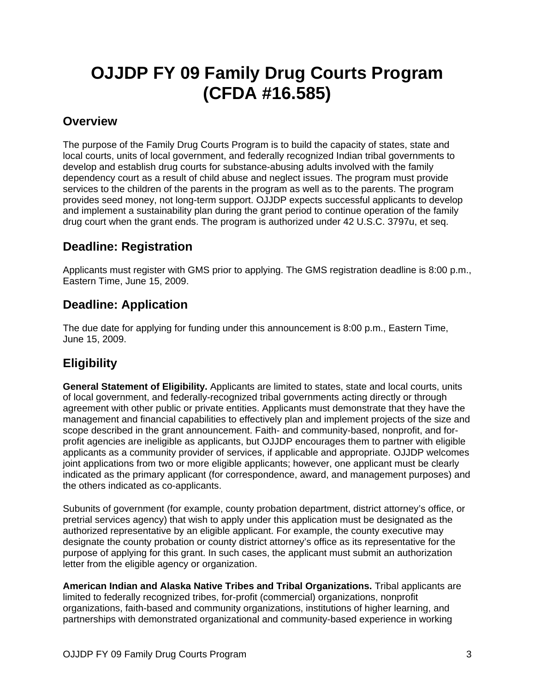## **OJJDP FY 09 Family Drug Courts Program (CFDA #16.585)**

## **Overview**

The purpose of the Family Drug Courts Program is to build the capacity of states, state and local courts, units of local government, and federally recognized Indian tribal governments to develop and establish drug courts for substance-abusing adults involved with the family dependency court as a result of child abuse and neglect issues. The program must provide services to the children of the parents in the program as well as to the parents. The program provides seed money, not long-term support. OJJDP expects successful applicants to develop and implement a sustainability plan during the grant period to continue operation of the family drug court when the grant ends. The program is authorized under 42 U.S.C. 3797u, et seq.

## **Deadline: Registration**

Applicants must register with GMS prior to applying. The GMS registration deadline is 8:00 p.m., Eastern Time, June 15, 2009.

## **Deadline: Application**

The due date for applying for funding under this announcement is 8:00 p.m., Eastern Time, June 15, 2009.

## **Eligibility**

**General Statement of Eligibility.** Applicants are limited to states, state and local courts, units of local government, and federally-recognized tribal governments acting directly or through agreement with other public or private entities. Applicants must demonstrate that they have the management and financial capabilities to effectively plan and implement projects of the size and scope described in the grant announcement. Faith- and community-based, nonprofit, and forprofit agencies are ineligible as applicants, but OJJDP encourages them to partner with eligible applicants as a community provider of services, if applicable and appropriate. OJJDP welcomes joint applications from two or more eligible applicants; however, one applicant must be clearly indicated as the primary applicant (for correspondence, award, and management purposes) and the others indicated as co-applicants.

Subunits of government (for example, county probation department, district attorney's office, or pretrial services agency) that wish to apply under this application must be designated as the authorized representative by an eligible applicant. For example, the county executive may designate the county probation or county district attorney's office as its representative for the purpose of applying for this grant. In such cases, the applicant must submit an authorization letter from the eligible agency or organization.

**American Indian and Alaska Native Tribes and Tribal Organizations.** Tribal applicants are limited to federally recognized tribes, for-profit (commercial) organizations, nonprofit organizations, faith-based and community organizations, institutions of higher learning, and partnerships with demonstrated organizational and community-based experience in working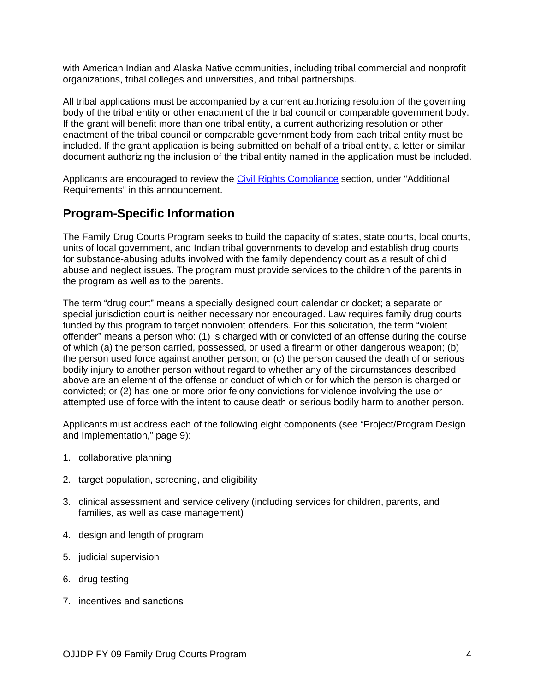with American Indian and Alaska Native communities, including tribal commercial and nonprofit organizations, tribal colleges and universities, and tribal partnerships.

All tribal applications must be accompanied by a current authorizing resolution of the governing body of the tribal entity or other enactment of the tribal council or comparable government body. If the grant will benefit more than one tribal entity, a current authorizing resolution or other enactment of the tribal council or comparable government body from each tribal entity must be included. If the grant application is being submitted on behalf of a tribal entity, a letter or similar document authorizing the inclusion of the tribal entity named in the application must be included.

Applicants are encouraged to review the [Civil Rights Compliance](http://www.ojp.usdoj.gov/funding/other_requirements.htm) section, under "Additional Requirements" in this announcement.

## **Program-Specific Information**

The Family Drug Courts Program seeks to build the capacity of states, state courts, local courts, units of local government, and Indian tribal governments to develop and establish drug courts for substance-abusing adults involved with the family dependency court as a result of child abuse and neglect issues. The program must provide services to the children of the parents in the program as well as to the parents.

The term "drug court" means a specially designed court calendar or docket; a separate or special jurisdiction court is neither necessary nor encouraged. Law requires family drug courts funded by this program to target nonviolent offenders. For this solicitation, the term "violent offender" means a person who: (1) is charged with or convicted of an offense during the course of which (a) the person carried, possessed, or used a firearm or other dangerous weapon; (b) the person used force against another person; or (c) the person caused the death of or serious bodily injury to another person without regard to whether any of the circumstances described above are an element of the offense or conduct of which or for which the person is charged or convicted; or (2) has one or more prior felony convictions for violence involving the use or attempted use of force with the intent to cause death or serious bodily harm to another person.

Applicants must address each of the following eight components (see "Project/Program Design and Implementation," page 9):

- 1. collaborative planning
- 2. target population, screening, and eligibility
- 3. clinical assessment and service delivery (including services for children, parents, and families, as well as case management)
- 4. design and length of program
- 5. judicial supervision
- 6. drug testing
- 7. incentives and sanctions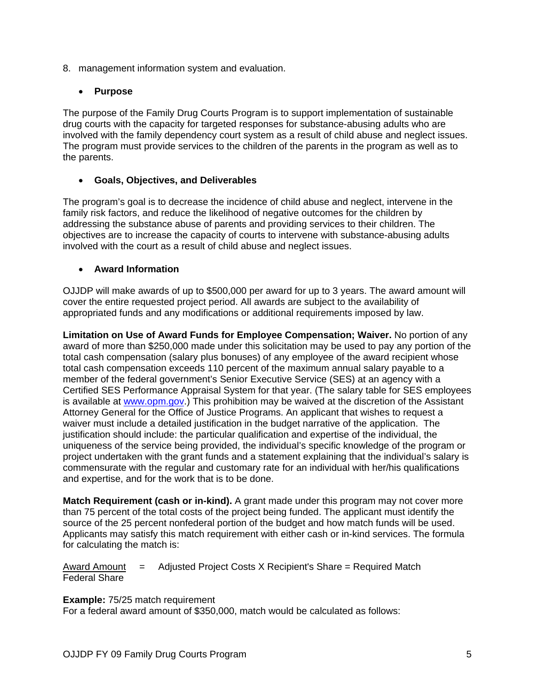8. management information system and evaluation.

#### • **Purpose**

The purpose of the Family Drug Courts Program is to support implementation of sustainable drug courts with the capacity for targeted responses for substance-abusing adults who are involved with the family dependency court system as a result of child abuse and neglect issues. The program must provide services to the children of the parents in the program as well as to the parents.

#### • **Goals, Objectives, and Deliverables**

The program's goal is to decrease the incidence of child abuse and neglect, intervene in the family risk factors, and reduce the likelihood of negative outcomes for the children by addressing the substance abuse of parents and providing services to their children. The objectives are to increase the capacity of courts to intervene with substance-abusing adults involved with the court as a result of child abuse and neglect issues.

#### • **Award Information**

OJJDP will make awards of up to \$500,000 per award for up to 3 years. The award amount will cover the entire requested project period. All awards are subject to the availability of appropriated funds and any modifications or additional requirements imposed by law.

**Limitation on Use of Award Funds for Employee Compensation; Waiver.** No portion of any award of more than \$250,000 made under this solicitation may be used to pay any portion of the total cash compensation (salary plus bonuses) of any employee of the award recipient whose total cash compensation exceeds 110 percent of the maximum annual salary payable to a member of the federal government's Senior Executive Service (SES) at an agency with a Certified SES Performance Appraisal System for that year. (The salary table for SES employees is available at [www.opm.gov.](http://www.opm.gov/)) This prohibition may be waived at the discretion of the Assistant Attorney General for the Office of Justice Programs. An applicant that wishes to request a waiver must include a detailed justification in the budget narrative of the application. The justification should include: the particular qualification and expertise of the individual, the uniqueness of the service being provided, the individual's specific knowledge of the program or project undertaken with the grant funds and a statement explaining that the individual's salary is commensurate with the regular and customary rate for an individual with her/his qualifications and expertise, and for the work that is to be done.

**Match Requirement (cash or in-kind).** A grant made under this program may not cover more than 75 percent of the total costs of the project being funded. The applicant must identify the source of the 25 percent nonfederal portion of the budget and how match funds will be used. Applicants may satisfy this match requirement with either cash or in-kind services. The formula for calculating the match is:

Award Amount = Adjusted Project Costs X Recipient's Share = Required Match Federal Share

#### **Example:** 75/25 match requirement

For a federal award amount of \$350,000, match would be calculated as follows: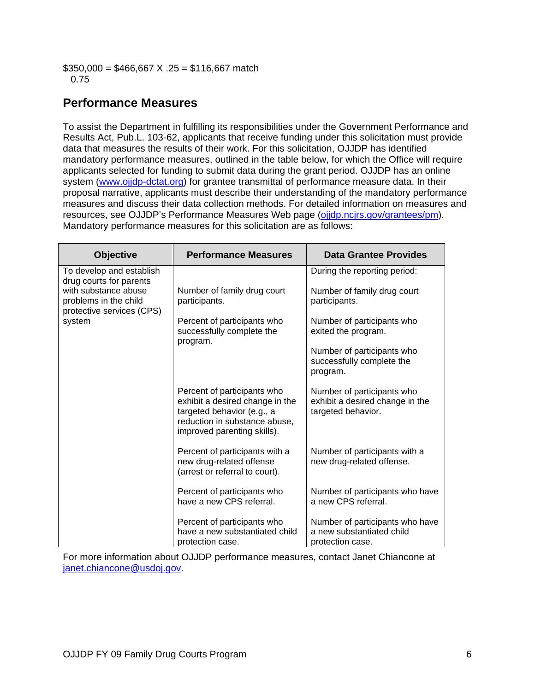$$350,000 = $466,667 \times .25 = $116,667$  match 0.75

## **Performance Measures**

To assist the Department in fulfilling its responsibilities under the Government Performance and Results Act, Pub.L. 103-62, applicants that receive funding under this solicitation must provide data that measures the results of their work. For this solicitation, OJJDP has identified mandatory performance measures, outlined in the table below, for which the Office will require applicants selected for funding to submit data during the grant period. OJJDP has an online system ([www.ojjdp-dctat.org](http://www.ojjdp-dctat.org/)) for grantee transmittal of performance measure data. In their proposal narrative, applicants must describe their understanding of the mandatory performance measures and discuss their data collection methods. For detailed information on measures and resources, see OJJDP's Performance Measures Web page [\(ojjdp.ncjrs.gov/grantees/pm\)](http://ojjdp.ncjrs.gov/pm). Mandatory performance measures for this solicitation are as follows:

| <b>Objective</b>                                                                                                                            | <b>Performance Measures</b>                                                                                                                                  | Data Grantee Provides                                                               |
|---------------------------------------------------------------------------------------------------------------------------------------------|--------------------------------------------------------------------------------------------------------------------------------------------------------------|-------------------------------------------------------------------------------------|
| To develop and establish<br>drug courts for parents<br>with substance abuse<br>problems in the child<br>protective services (CPS)<br>system |                                                                                                                                                              | During the reporting period:                                                        |
|                                                                                                                                             | Number of family drug court<br>participants.                                                                                                                 | Number of family drug court<br>participants.                                        |
|                                                                                                                                             | Percent of participants who<br>successfully complete the<br>program.                                                                                         | Number of participants who<br>exited the program.                                   |
|                                                                                                                                             |                                                                                                                                                              | Number of participants who<br>successfully complete the<br>program.                 |
|                                                                                                                                             | Percent of participants who<br>exhibit a desired change in the<br>targeted behavior (e.g., a<br>reduction in substance abuse,<br>improved parenting skills). | Number of participants who<br>exhibit a desired change in the<br>targeted behavior. |
|                                                                                                                                             | Percent of participants with a<br>new drug-related offense<br>(arrest or referral to court).                                                                 | Number of participants with a<br>new drug-related offense.                          |
|                                                                                                                                             | Percent of participants who<br>have a new CPS referral.                                                                                                      | Number of participants who have<br>a new CPS referral.                              |
|                                                                                                                                             | Percent of participants who<br>have a new substantiated child<br>protection case.                                                                            | Number of participants who have<br>a new substantiated child<br>protection case.    |

For more information about OJJDP performance measures, contact Janet Chiancone at [janet.chiancone@usdoj.gov](mailto:janet.chiancone@usdoj.gov).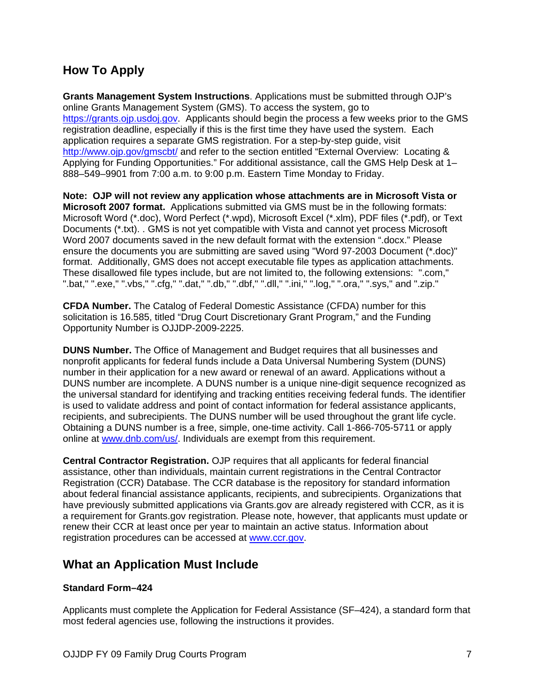## **How To Apply**

**Grants Management System Instructions**. Applications must be submitted through OJP's online Grants Management System (GMS). To access the system, go to [https://grants.ojp.usdoj.gov](https://grants.ojp.usdoj.gov/). Applicants should begin the process a few weeks prior to the GMS registration deadline, especially if this is the first time they have used the system. Each application requires a separate GMS registration. For a step-by-step guide, visit <http://www.ojp.gov/gmscbt/> and refer to the section entitled "External Overview: Locating & Applying for Funding Opportunities." For additional assistance, call the GMS Help Desk at 1– 888–549–9901 from 7:00 a.m. to 9:00 p.m. Eastern Time Monday to Friday.

**Note: OJP will not review any application whose attachments are in Microsoft Vista or Microsoft 2007 format.** Applications submitted via GMS must be in the following formats: Microsoft Word (\*.doc), Word Perfect (\*.wpd), Microsoft Excel (\*.xlm), PDF files (\*.pdf), or Text Documents (\*.txt). . GMS is not yet compatible with Vista and cannot yet process Microsoft Word 2007 documents saved in the new default format with the extension ".docx." Please ensure the documents you are submitting are saved using "Word 97-2003 Document (\*.doc)" format. Additionally, GMS does not accept executable file types as application attachments. These disallowed file types include, but are not limited to, the following extensions: ".com," ".bat," ".exe," ".vbs," ".cfg," ".dat," ".db," ".dbf," ".dll," ".ini," ".log," ".ora," ".sys," and ".zip."

**CFDA Number.** The Catalog of Federal Domestic Assistance (CFDA) number for this solicitation is 16.585, titled "Drug Court Discretionary Grant Program," and the Funding Opportunity Number is OJJDP-2009-2225.

**DUNS Number.** The Office of Management and Budget requires that all businesses and nonprofit applicants for federal funds include a Data Universal Numbering System (DUNS) number in their application for a new award or renewal of an award. Applications without a DUNS number are incomplete. A DUNS number is a unique nine-digit sequence recognized as the universal standard for identifying and tracking entities receiving federal funds. The identifier is used to validate address and point of contact information for federal assistance applicants, recipients, and subrecipients. The DUNS number will be used throughout the grant life cycle. Obtaining a DUNS number is a free, simple, one-time activity. Call 1-866-705-5711 or apply online at [www.dnb.com/us/](http://www.dnb.com/us/). Individuals are exempt from this requirement.

**Central Contractor Registration.** OJP requires that all applicants for federal financial assistance, other than individuals, maintain current registrations in the Central Contractor Registration (CCR) Database. The CCR database is the repository for standard information about federal financial assistance applicants, recipients, and subrecipients. Organizations that have previously submitted applications via Grants.gov are already registered with CCR, as it is a requirement for Grants.gov registration. Please note, however, that applicants must update or renew their CCR at least once per year to maintain an active status. Information about registration procedures can be accessed at [www.ccr.gov.](http://www.ccr.gov/)

### **What an Application Must Include**

#### **Standard Form–424**

Applicants must complete the Application for Federal Assistance (SF–424), a standard form that most federal agencies use, following the instructions it provides.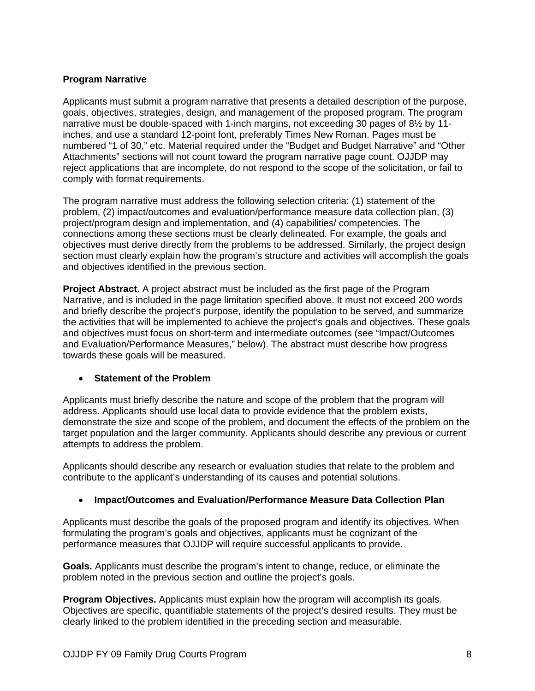#### **Program Narrative**

Applicants must submit a program narrative that presents a detailed description of the purpose, goals, objectives, strategies, design, and management of the proposed program. The program narrative must be double-spaced with 1-inch margins, not exceeding 30 pages of 8½ by 11 inches, and use a standard 12-point font, preferably Times New Roman. Pages must be numbered "1 of 30," etc. Material required under the "Budget and Budget Narrative" and "Other Attachments" sections will not count toward the program narrative page count. OJJDP may reject applications that are incomplete, do not respond to the scope of the solicitation, or fail to comply with format requirements.

The program narrative must address the following selection criteria: (1) statement of the problem, (2) impact/outcomes and evaluation/performance measure data collection plan, (3) project/program design and implementation, and (4) capabilities/ competencies. The connections among these sections must be clearly delineated. For example, the goals and objectives must derive directly from the problems to be addressed. Similarly, the project design section must clearly explain how the program's structure and activities will accomplish the goals and objectives identified in the previous section.

**Project Abstract.** A project abstract must be included as the first page of the Program Narrative, and is included in the page limitation specified above. It must not exceed 200 words and briefly describe the project's purpose, identify the population to be served, and summarize the activities that will be implemented to achieve the project's goals and objectives. These goals and objectives must focus on short-term and intermediate outcomes (see "Impact/Outcomes and Evaluation/Performance Measures," below). The abstract must describe how progress towards these goals will be measured.

#### • **Statement of the Problem**

Applicants must briefly describe the nature and scope of the problem that the program will address. Applicants should use local data to provide evidence that the problem exists, demonstrate the size and scope of the problem, and document the effects of the problem on the target population and the larger community. Applicants should describe any previous or current attempts to address the problem.

Applicants should describe any research or evaluation studies that relate to the problem and contribute to the applicant's understanding of its causes and potential solutions.

#### • **Impact/Outcomes and Evaluation/Performance Measure Data Collection Plan**

Applicants must describe the goals of the proposed program and identify its objectives. When formulating the program's goals and objectives, applicants must be cognizant of the performance measures that OJJDP will require successful applicants to provide.

**Goals.** Applicants must describe the program's intent to change, reduce, or eliminate the problem noted in the previous section and outline the project's goals.

**Program Objectives.** Applicants must explain how the program will accomplish its goals. Objectives are specific, quantifiable statements of the project's desired results. They must be clearly linked to the problem identified in the preceding section and measurable.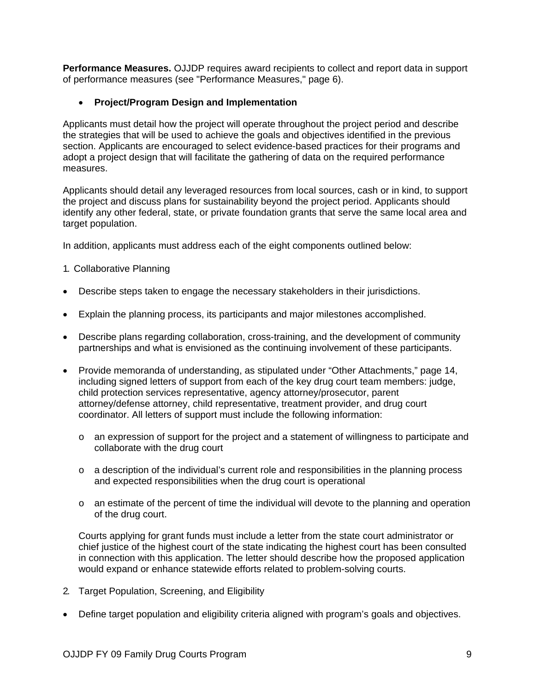**Performance Measures.** OJJDP requires award recipients to collect and report data in support of performance measures (see "Performance Measures," page 6).

#### • **Project/Program Design and Implementation**

Applicants must detail how the project will operate throughout the project period and describe the strategies that will be used to achieve the goals and objectives identified in the previous section. Applicants are encouraged to select evidence-based practices for their programs and adopt a project design that will facilitate the gathering of data on the required performance measures.

Applicants should detail any leveraged resources from local sources, cash or in kind, to support the project and discuss plans for sustainability beyond the project period. Applicants should identify any other federal, state, or private foundation grants that serve the same local area and target population.

In addition, applicants must address each of the eight components outlined below:

- 1. Collaborative Planning
- Describe steps taken to engage the necessary stakeholders in their jurisdictions.
- Explain the planning process, its participants and major milestones accomplished.
- Describe plans regarding collaboration, cross-training, and the development of community partnerships and what is envisioned as the continuing involvement of these participants.
- Provide memoranda of understanding, as stipulated under "Other Attachments," page 14, including signed letters of support from each of the key drug court team members: judge, child protection services representative, agency attorney/prosecutor, parent attorney/defense attorney, child representative, treatment provider, and drug court coordinator. All letters of support must include the following information:
	- o an expression of support for the project and a statement of willingness to participate and collaborate with the drug court
	- $\circ$  a description of the individual's current role and responsibilities in the planning process and expected responsibilities when the drug court is operational
	- $\circ$  an estimate of the percent of time the individual will devote to the planning and operation of the drug court.

Courts applying for grant funds must include a letter from the state court administrator or chief justice of the highest court of the state indicating the highest court has been consulted in connection with this application. The letter should describe how the proposed application would expand or enhance statewide efforts related to problem-solving courts.

- 2. Target Population, Screening, and Eligibility
- Define target population and eligibility criteria aligned with program's goals and objectives.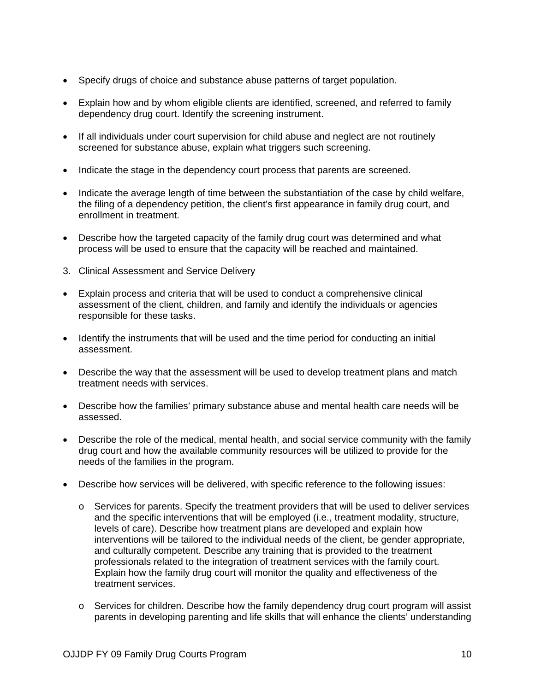- Specify drugs of choice and substance abuse patterns of target population.
- Explain how and by whom eligible clients are identified, screened, and referred to family dependency drug court. Identify the screening instrument.
- If all individuals under court supervision for child abuse and neglect are not routinely screened for substance abuse, explain what triggers such screening.
- Indicate the stage in the dependency court process that parents are screened.
- Indicate the average length of time between the substantiation of the case by child welfare, the filing of a dependency petition, the client's first appearance in family drug court, and enrollment in treatment.
- Describe how the targeted capacity of the family drug court was determined and what process will be used to ensure that the capacity will be reached and maintained.
- 3. Clinical Assessment and Service Delivery
- Explain process and criteria that will be used to conduct a comprehensive clinical assessment of the client, children, and family and identify the individuals or agencies responsible for these tasks.
- Identify the instruments that will be used and the time period for conducting an initial assessment.
- Describe the way that the assessment will be used to develop treatment plans and match treatment needs with services.
- Describe how the families' primary substance abuse and mental health care needs will be assessed.
- Describe the role of the medical, mental health, and social service community with the family drug court and how the available community resources will be utilized to provide for the needs of the families in the program.
- Describe how services will be delivered, with specific reference to the following issues:
	- $\circ$  Services for parents. Specify the treatment providers that will be used to deliver services and the specific interventions that will be employed (i.e., treatment modality, structure, levels of care). Describe how treatment plans are developed and explain how interventions will be tailored to the individual needs of the client, be gender appropriate, and culturally competent. Describe any training that is provided to the treatment professionals related to the integration of treatment services with the family court. Explain how the family drug court will monitor the quality and effectiveness of the treatment services.
	- o Services for children. Describe how the family dependency drug court program will assist parents in developing parenting and life skills that will enhance the clients' understanding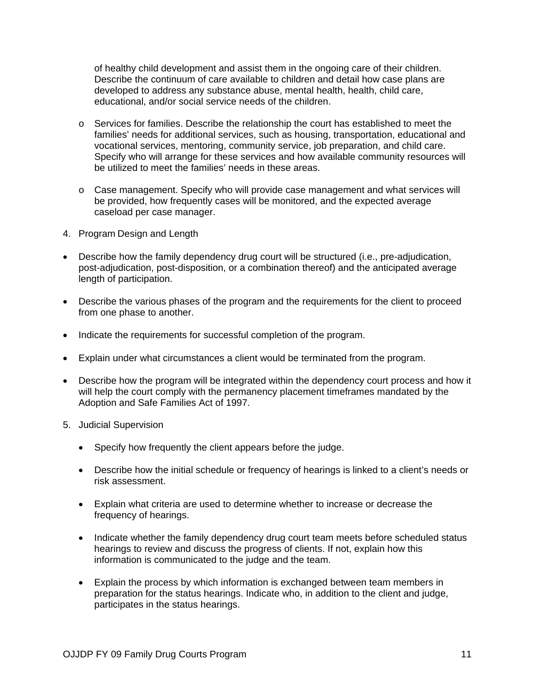of healthy child development and assist them in the ongoing care of their children. Describe the continuum of care available to children and detail how case plans are developed to address any substance abuse, mental health, health, child care, educational, and/or social service needs of the children.

- o Services for families. Describe the relationship the court has established to meet the families' needs for additional services, such as housing, transportation, educational and vocational services, mentoring, community service, job preparation, and child care. Specify who will arrange for these services and how available community resources will be utilized to meet the families' needs in these areas.
- o Case management. Specify who will provide case management and what services will be provided, how frequently cases will be monitored, and the expected average caseload per case manager.
- 4. Program Design and Length
- Describe how the family dependency drug court will be structured (i.e., pre-adjudication, post-adjudication, post-disposition, or a combination thereof) and the anticipated average length of participation.
- Describe the various phases of the program and the requirements for the client to proceed from one phase to another.
- Indicate the requirements for successful completion of the program.
- Explain under what circumstances a client would be terminated from the program.
- Describe how the program will be integrated within the dependency court process and how it will help the court comply with the permanency placement timeframes mandated by the Adoption and Safe Families Act of 1997.
- 5. Judicial Supervision
	- Specify how frequently the client appears before the judge.
	- Describe how the initial schedule or frequency of hearings is linked to a client's needs or risk assessment.
	- Explain what criteria are used to determine whether to increase or decrease the frequency of hearings.
	- Indicate whether the family dependency drug court team meets before scheduled status hearings to review and discuss the progress of clients. If not, explain how this information is communicated to the judge and the team.
	- Explain the process by which information is exchanged between team members in preparation for the status hearings. Indicate who, in addition to the client and judge, participates in the status hearings.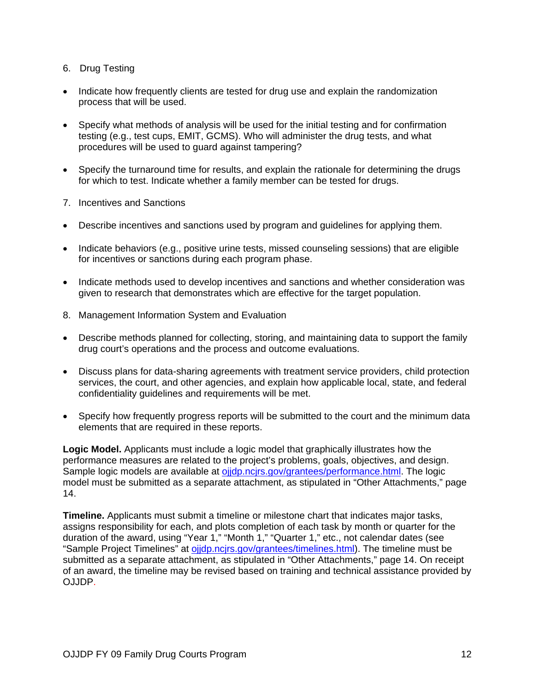- 6. Drug Testing
- Indicate how frequently clients are tested for drug use and explain the randomization process that will be used.
- Specify what methods of analysis will be used for the initial testing and for confirmation testing (e.g., test cups, EMIT, GCMS). Who will administer the drug tests, and what procedures will be used to guard against tampering?
- Specify the turnaround time for results, and explain the rationale for determining the drugs for which to test. Indicate whether a family member can be tested for drugs.
- 7. Incentives and Sanctions
- Describe incentives and sanctions used by program and guidelines for applying them.
- Indicate behaviors (e.g., positive urine tests, missed counseling sessions) that are eligible for incentives or sanctions during each program phase.
- Indicate methods used to develop incentives and sanctions and whether consideration was given to research that demonstrates which are effective for the target population.
- 8. Management Information System and Evaluation
- Describe methods planned for collecting, storing, and maintaining data to support the family drug court's operations and the process and outcome evaluations.
- Discuss plans for data-sharing agreements with treatment service providers, child protection services, the court, and other agencies, and explain how applicable local, state, and federal confidentiality guidelines and requirements will be met.
- Specify how frequently progress reports will be submitted to the court and the minimum data elements that are required in these reports.

**Logic Model.** Applicants must include a logic model that graphically illustrates how the performance measures are related to the project's problems, goals, objectives, and design. Sample logic models are available at oijdp.ncirs.gov/grantees/performance.html. The logic model must be submitted as a separate attachment, as stipulated in "Other Attachments," page 14.

**Timeline.** Applicants must submit a timeline or milestone chart that indicates major tasks, assigns responsibility for each, and plots completion of each task by month or quarter for the duration of the award, using "Year 1," "Month 1," "Quarter 1," etc., not calendar dates (see "Sample Project Timelines" at [ojjdp.ncjrs.gov/grantees/timelines.html\)](http://ojjdp.ncjrs.gov/grantees.html). The timeline must be submitted as a separate attachment, as stipulated in "Other Attachments," page 14. On receipt of an award, the timeline may be revised based on training and technical assistance provided by OJJDP.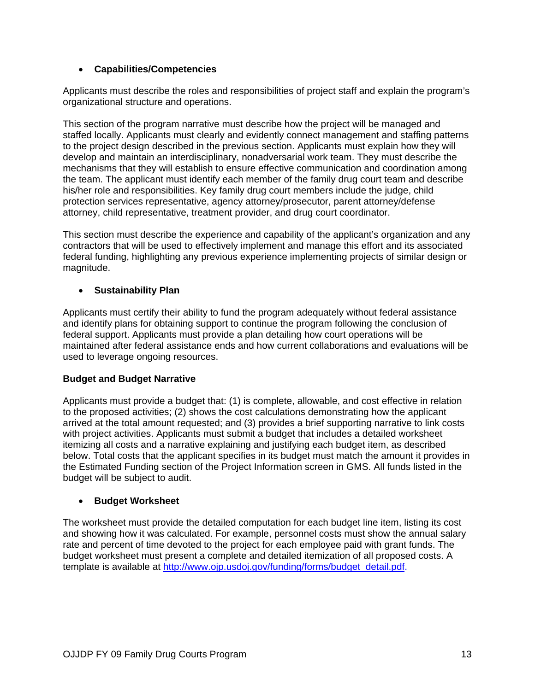#### • **Capabilities/Competencies**

Applicants must describe the roles and responsibilities of project staff and explain the program's organizational structure and operations.

This section of the program narrative must describe how the project will be managed and staffed locally. Applicants must clearly and evidently connect management and staffing patterns to the project design described in the previous section. Applicants must explain how they will develop and maintain an interdisciplinary, nonadversarial work team. They must describe the mechanisms that they will establish to ensure effective communication and coordination among the team. The applicant must identify each member of the family drug court team and describe his/her role and responsibilities. Key family drug court members include the judge, child protection services representative, agency attorney/prosecutor, parent attorney/defense attorney, child representative, treatment provider, and drug court coordinator.

This section must describe the experience and capability of the applicant's organization and any contractors that will be used to effectively implement and manage this effort and its associated federal funding, highlighting any previous experience implementing projects of similar design or magnitude.

#### • **Sustainability Plan**

Applicants must certify their ability to fund the program adequately without federal assistance and identify plans for obtaining support to continue the program following the conclusion of federal support. Applicants must provide a plan detailing how court operations will be maintained after federal assistance ends and how current collaborations and evaluations will be used to leverage ongoing resources.

#### **Budget and Budget Narrative**

Applicants must provide a budget that: (1) is complete, allowable, and cost effective in relation to the proposed activities; (2) shows the cost calculations demonstrating how the applicant arrived at the total amount requested; and (3) provides a brief supporting narrative to link costs with project activities. Applicants must submit a budget that includes a detailed worksheet itemizing all costs and a narrative explaining and justifying each budget item, as described below. Total costs that the applicant specifies in its budget must match the amount it provides in the Estimated Funding section of the Project Information screen in GMS. All funds listed in the budget will be subject to audit.

#### • **Budget Worksheet**

The worksheet must provide the detailed computation for each budget line item, listing its cost and showing how it was calculated. For example, personnel costs must show the annual salary rate and percent of time devoted to the project for each employee paid with grant funds. The budget worksheet must present a complete and detailed itemization of all proposed costs. A template is available at [http://www.ojp.usdoj.gov/funding/forms/budget\\_detail.pdf](http://www.ojp.usdoj.gov/funding/forms/budget_detail.pdf).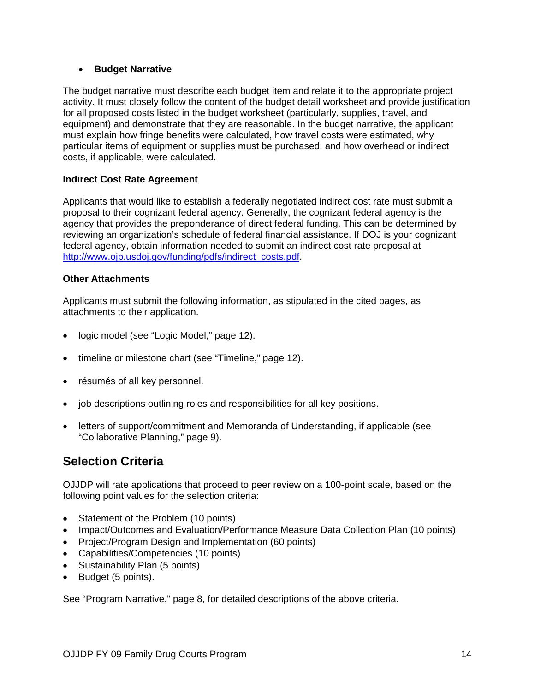#### • **Budget Narrative**

The budget narrative must describe each budget item and relate it to the appropriate project activity. It must closely follow the content of the budget detail worksheet and provide justification for all proposed costs listed in the budget worksheet (particularly, supplies, travel, and equipment) and demonstrate that they are reasonable. In the budget narrative, the applicant must explain how fringe benefits were calculated, how travel costs were estimated, why particular items of equipment or supplies must be purchased, and how overhead or indirect costs, if applicable, were calculated.

#### **Indirect Cost Rate Agreement**

Applicants that would like to establish a federally negotiated indirect cost rate must submit a proposal to their cognizant federal agency. Generally, the cognizant federal agency is the agency that provides the preponderance of direct federal funding. This can be determined by reviewing an organization's schedule of federal financial assistance. If DOJ is your cognizant federal agency, obtain information needed to submit an indirect cost rate proposal at [http://www.ojp.usdoj.gov/funding/pdfs/indirect\\_costs.pdf.](http://www.ojp.usdoj.gov/funding/pdfs/indirect_costs.pdf)

#### **Other Attachments**

Applicants must submit the following information, as stipulated in the cited pages, as attachments to their application.

- logic model (see "Logic Model," page 12).
- timeline or milestone chart (see "Timeline," page 12).
- résumés of all key personnel.
- job descriptions outlining roles and responsibilities for all key positions.
- letters of support/commitment and Memoranda of Understanding, if applicable (see "Collaborative Planning," page 9).

## **Selection Criteria**

OJJDP will rate applications that proceed to peer review on a 100-point scale, based on the following point values for the selection criteria:

- Statement of the Problem (10 points)
- Impact/Outcomes and Evaluation/Performance Measure Data Collection Plan (10 points)
- Project/Program Design and Implementation (60 points)
- Capabilities/Competencies (10 points)
- Sustainability Plan (5 points)
- Budget (5 points).

See "Program Narrative," page 8, for detailed descriptions of the above criteria.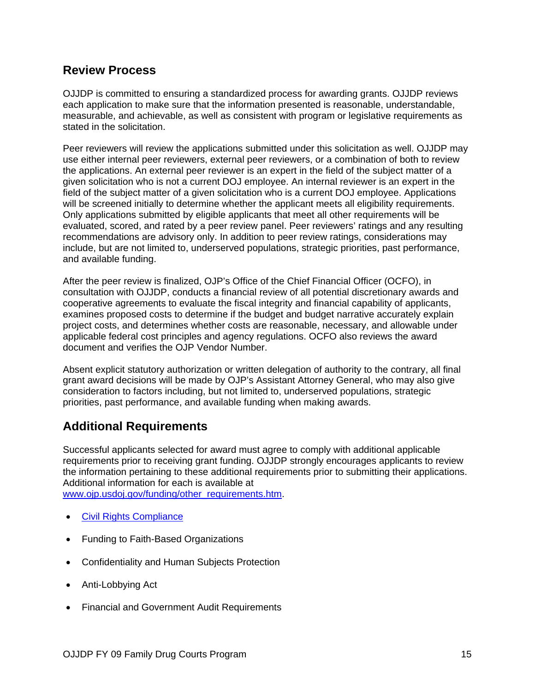### **Review Process**

OJJDP is committed to ensuring a standardized process for awarding grants. OJJDP reviews each application to make sure that the information presented is reasonable, understandable, measurable, and achievable, as well as consistent with program or legislative requirements as stated in the solicitation.

Peer reviewers will review the applications submitted under this solicitation as well. OJJDP may use either internal peer reviewers, external peer reviewers, or a combination of both to review the applications. An external peer reviewer is an expert in the field of the subject matter of a given solicitation who is not a current DOJ employee. An internal reviewer is an expert in the field of the subject matter of a given solicitation who is a current DOJ employee. Applications will be screened initially to determine whether the applicant meets all eligibility requirements. Only applications submitted by eligible applicants that meet all other requirements will be evaluated, scored, and rated by a peer review panel. Peer reviewers' ratings and any resulting recommendations are advisory only. In addition to peer review ratings, considerations may include, but are not limited to, underserved populations, strategic priorities, past performance, and available funding.

After the peer review is finalized, OJP's Office of the Chief Financial Officer (OCFO), in consultation with OJJDP, conducts a financial review of all potential discretionary awards and cooperative agreements to evaluate the fiscal integrity and financial capability of applicants, examines proposed costs to determine if the budget and budget narrative accurately explain project costs, and determines whether costs are reasonable, necessary, and allowable under applicable federal cost principles and agency regulations. OCFO also reviews the award document and verifies the OJP Vendor Number.

Absent explicit statutory authorization or written delegation of authority to the contrary, all final grant award decisions will be made by OJP's Assistant Attorney General, who may also give consideration to factors including, but not limited to, underserved populations, strategic priorities, past performance, and available funding when making awards.

## **Additional Requirements**

Successful applicants selected for award must agree to comply with additional applicable requirements prior to receiving grant funding. OJJDP strongly encourages applicants to review the information pertaining to these additional requirements prior to submitting their applications. Additional information for each is available at [www.ojp.usdoj.gov/funding/other\\_requirements.htm.](http://www.ojp.usdoj.gov/funding/other_requirements.htm)

- [Civil Rights Compliance](http://www.ojp.usdoj.gov/funding/other_requirements.htm)
- Funding to Faith-Based Organizations
- Confidentiality and Human Subjects Protection
- Anti-Lobbying Act
- Financial and Government Audit Requirements